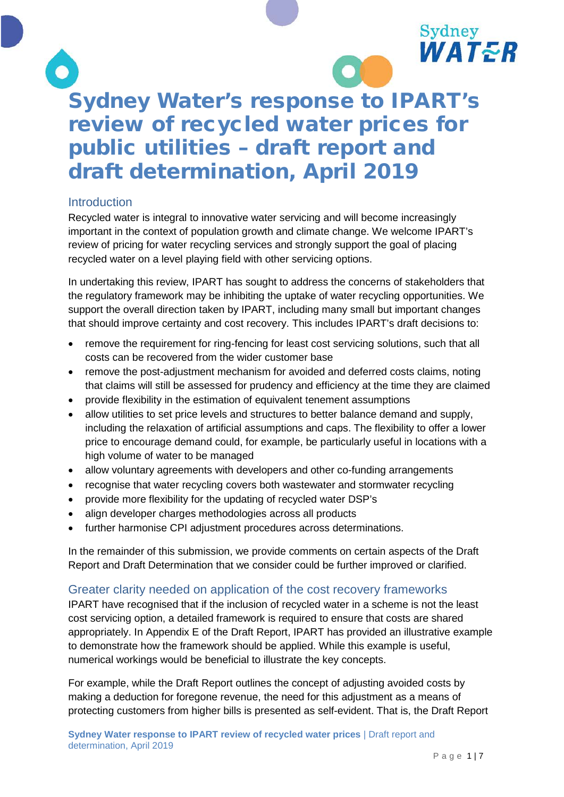



# Sydney Water's response to IPART's review of recycled water prices for public utilities – draft report and draft determination, April 2019

# Introduction

Recycled water is integral to innovative water servicing and will become increasingly important in the context of population growth and climate change. We welcome IPART's review of pricing for water recycling services and strongly support the goal of placing recycled water on a level playing field with other servicing options.

In undertaking this review, IPART has sought to address the concerns of stakeholders that the regulatory framework may be inhibiting the uptake of water recycling opportunities. We support the overall direction taken by IPART, including many small but important changes that should improve certainty and cost recovery. This includes IPART's draft decisions to:

- remove the requirement for ring-fencing for least cost servicing solutions, such that all costs can be recovered from the wider customer base
- remove the post-adjustment mechanism for avoided and deferred costs claims, noting that claims will still be assessed for prudency and efficiency at the time they are claimed
- provide flexibility in the estimation of equivalent tenement assumptions
- allow utilities to set price levels and structures to better balance demand and supply, including the relaxation of artificial assumptions and caps. The flexibility to offer a lower price to encourage demand could, for example, be particularly useful in locations with a high volume of water to be managed
- allow voluntary agreements with developers and other co-funding arrangements
- recognise that water recycling covers both wastewater and stormwater recycling
- provide more flexibility for the updating of recycled water DSP's
- align developer charges methodologies across all products
- further harmonise CPI adjustment procedures across determinations.

In the remainder of this submission, we provide comments on certain aspects of the Draft Report and Draft Determination that we consider could be further improved or clarified.

# Greater clarity needed on application of the cost recovery frameworks

IPART have recognised that if the inclusion of recycled water in a scheme is not the least cost servicing option, a detailed framework is required to ensure that costs are shared appropriately. In Appendix E of the Draft Report, IPART has provided an illustrative example to demonstrate how the framework should be applied. While this example is useful, numerical workings would be beneficial to illustrate the key concepts.

For example, while the Draft Report outlines the concept of adjusting avoided costs by making a deduction for foregone revenue, the need for this adjustment as a means of protecting customers from higher bills is presented as self-evident. That is, the Draft Report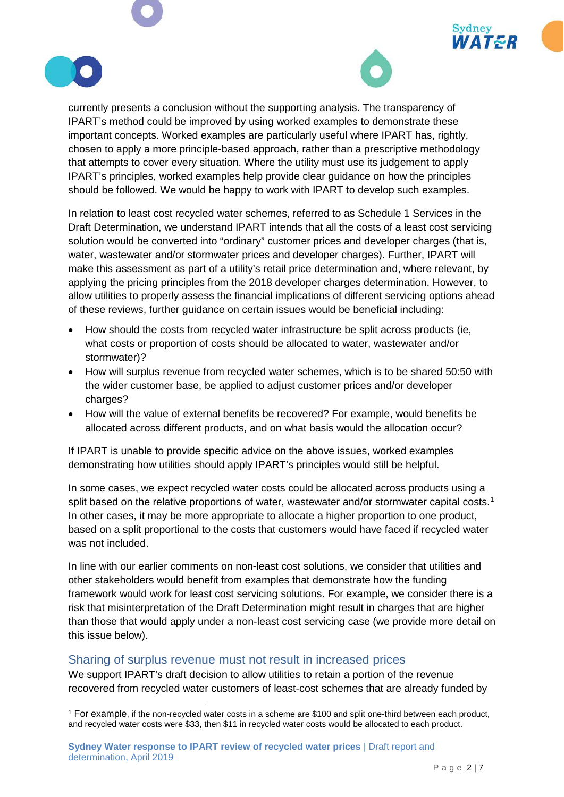





currently presents a conclusion without the supporting analysis. The transparency of IPART's method could be improved by using worked examples to demonstrate these important concepts. Worked examples are particularly useful where IPART has, rightly, chosen to apply a more principle-based approach, rather than a prescriptive methodology that attempts to cover every situation. Where the utility must use its judgement to apply IPART's principles, worked examples help provide clear guidance on how the principles should be followed. We would be happy to work with IPART to develop such examples.

In relation to least cost recycled water schemes, referred to as Schedule 1 Services in the Draft Determination, we understand IPART intends that all the costs of a least cost servicing solution would be converted into "ordinary" customer prices and developer charges (that is, water, wastewater and/or stormwater prices and developer charges). Further, IPART will make this assessment as part of a utility's retail price determination and, where relevant, by applying the pricing principles from the 2018 developer charges determination. However, to allow utilities to properly assess the financial implications of different servicing options ahead of these reviews, further guidance on certain issues would be beneficial including:

- How should the costs from recycled water infrastructure be split across products (ie, what costs or proportion of costs should be allocated to water, wastewater and/or stormwater)?
- How will surplus revenue from recycled water schemes, which is to be shared 50:50 with the wider customer base, be applied to adjust customer prices and/or developer charges?
- How will the value of external benefits be recovered? For example, would benefits be allocated across different products, and on what basis would the allocation occur?

If IPART is unable to provide specific advice on the above issues, worked examples demonstrating how utilities should apply IPART's principles would still be helpful.

In some cases, we expect recycled water costs could be allocated across products using a split based on the relative proportions of water, wastewater and/or stormwater capital costs.<sup>[1](#page-1-0)</sup> In other cases, it may be more appropriate to allocate a higher proportion to one product, based on a split proportional to the costs that customers would have faced if recycled water was not included.

In line with our earlier comments on non-least cost solutions, we consider that utilities and other stakeholders would benefit from examples that demonstrate how the funding framework would work for least cost servicing solutions. For example, we consider there is a risk that misinterpretation of the Draft Determination might result in charges that are higher than those that would apply under a non-least cost servicing case (we provide more detail on this issue below).

#### Sharing of surplus revenue must not result in increased prices

We support IPART's draft decision to allow utilities to retain a portion of the revenue recovered from recycled water customers of least-cost schemes that are already funded by

<span id="page-1-0"></span> <sup>1</sup> For example, if the non-recycled water costs in a scheme are \$100 and split one-third between each product, and recycled water costs were \$33, then \$11 in recycled water costs would be allocated to each product.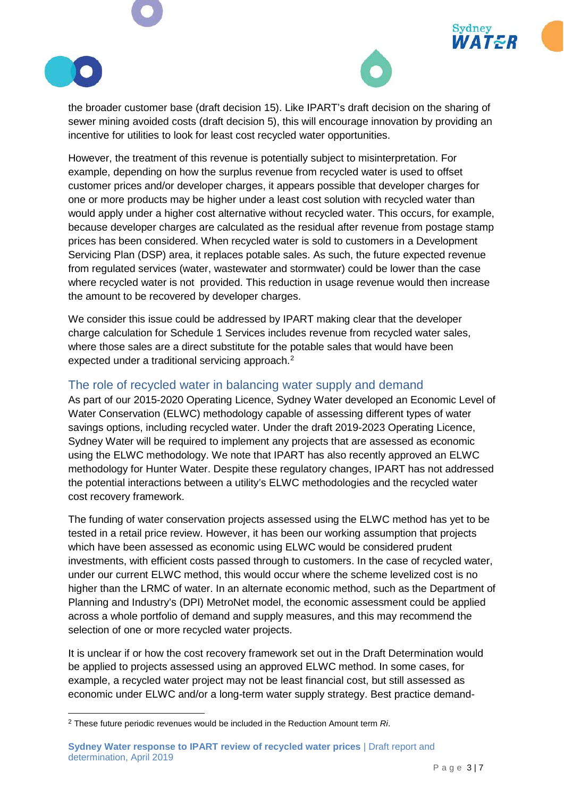



Sydney

**VATER** 

the broader customer base (draft decision 15). Like IPART's draft decision on the sharing of sewer mining avoided costs (draft decision 5), this will encourage innovation by providing an incentive for utilities to look for least cost recycled water opportunities.

However, the treatment of this revenue is potentially subject to misinterpretation. For example, depending on how the surplus revenue from recycled water is used to offset customer prices and/or developer charges, it appears possible that developer charges for one or more products may be higher under a least cost solution with recycled water than would apply under a higher cost alternative without recycled water. This occurs, for example, because developer charges are calculated as the residual after revenue from postage stamp prices has been considered. When recycled water is sold to customers in a Development Servicing Plan (DSP) area, it replaces potable sales. As such, the future expected revenue from regulated services (water, wastewater and stormwater) could be lower than the case where recycled water is not provided. This reduction in usage revenue would then increase the amount to be recovered by developer charges.

We consider this issue could be addressed by IPART making clear that the developer charge calculation for Schedule 1 Services includes revenue from recycled water sales, where those sales are a direct substitute for the potable sales that would have been expected under a traditional servicing approach.<sup>[2](#page-2-0)</sup>

#### The role of recycled water in balancing water supply and demand

As part of our 2015-2020 Operating Licence, Sydney Water developed an Economic Level of Water Conservation (ELWC) methodology capable of assessing different types of water savings options, including recycled water. Under the draft 2019-2023 Operating Licence, Sydney Water will be required to implement any projects that are assessed as economic using the ELWC methodology. We note that IPART has also recently approved an ELWC methodology for Hunter Water. Despite these regulatory changes, IPART has not addressed the potential interactions between a utility's ELWC methodologies and the recycled water cost recovery framework.

The funding of water conservation projects assessed using the ELWC method has yet to be tested in a retail price review. However, it has been our working assumption that projects which have been assessed as economic using ELWC would be considered prudent investments, with efficient costs passed through to customers. In the case of recycled water, under our current ELWC method, this would occur where the scheme levelized cost is no higher than the LRMC of water. In an alternate economic method, such as the Department of Planning and Industry's (DPI) MetroNet model, the economic assessment could be applied across a whole portfolio of demand and supply measures, and this may recommend the selection of one or more recycled water projects.

It is unclear if or how the cost recovery framework set out in the Draft Determination would be applied to projects assessed using an approved ELWC method. In some cases, for example, a recycled water project may not be least financial cost, but still assessed as economic under ELWC and/or a long-term water supply strategy. Best practice demand-

<span id="page-2-0"></span> <sup>2</sup> These future periodic revenues would be included in the Reduction Amount term *Ri*.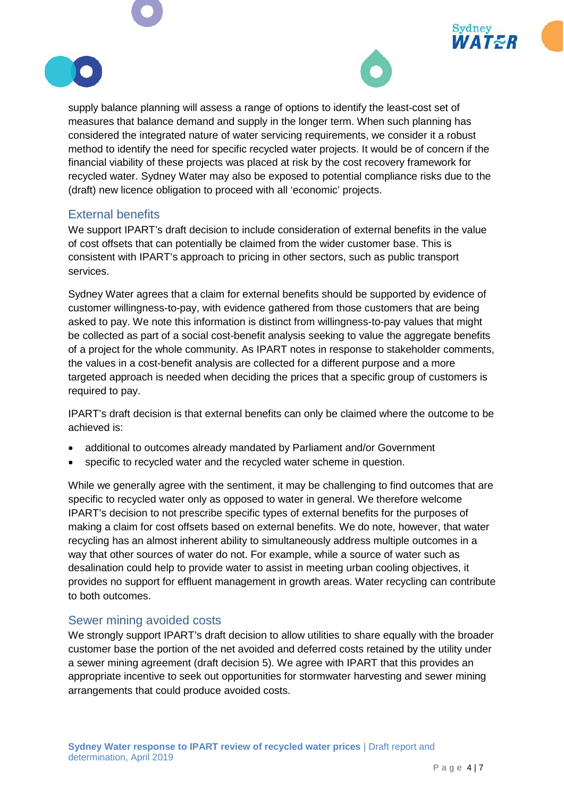



Sydney

 $AT \leq R$ 

supply balance planning will assess a range of options to identify the least-cost set of measures that balance demand and supply in the longer term. When such planning has considered the integrated nature of water servicing requirements, we consider it a robust method to identify the need for specific recycled water projects. It would be of concern if the financial viability of these projects was placed at risk by the cost recovery framework for recycled water. Sydney Water may also be exposed to potential compliance risks due to the (draft) new licence obligation to proceed with all 'economic' projects.

#### External benefits

We support IPART's draft decision to include consideration of external benefits in the value of cost offsets that can potentially be claimed from the wider customer base. This is consistent with IPART's approach to pricing in other sectors, such as public transport services.

Sydney Water agrees that a claim for external benefits should be supported by evidence of customer willingness-to-pay, with evidence gathered from those customers that are being asked to pay. We note this information is distinct from willingness-to-pay values that might be collected as part of a social cost-benefit analysis seeking to value the aggregate benefits of a project for the whole community. As IPART notes in response to stakeholder comments, the values in a cost-benefit analysis are collected for a different purpose and a more targeted approach is needed when deciding the prices that a specific group of customers is required to pay.

IPART's draft decision is that external benefits can only be claimed where the outcome to be achieved is:

- additional to outcomes already mandated by Parliament and/or Government
- specific to recycled water and the recycled water scheme in question.

While we generally agree with the sentiment, it may be challenging to find outcomes that are specific to recycled water only as opposed to water in general. We therefore welcome IPART's decision to not prescribe specific types of external benefits for the purposes of making a claim for cost offsets based on external benefits. We do note, however, that water recycling has an almost inherent ability to simultaneously address multiple outcomes in a way that other sources of water do not. For example, while a source of water such as desalination could help to provide water to assist in meeting urban cooling objectives, it provides no support for effluent management in growth areas. Water recycling can contribute to both outcomes.

#### Sewer mining avoided costs

We strongly support IPART's draft decision to allow utilities to share equally with the broader customer base the portion of the net avoided and deferred costs retained by the utility under a sewer mining agreement (draft decision 5). We agree with IPART that this provides an appropriate incentive to seek out opportunities for stormwater harvesting and sewer mining arrangements that could produce avoided costs.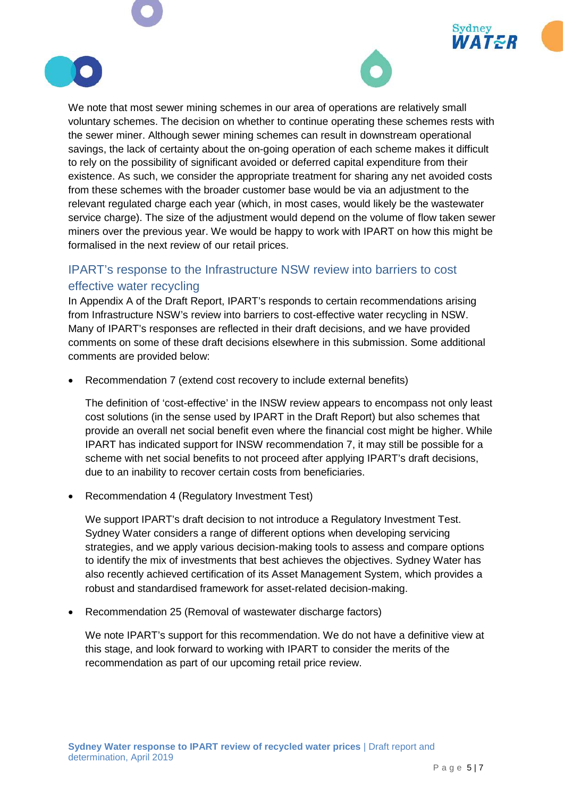



Sydney

/AT&R

We note that most sewer mining schemes in our area of operations are relatively small voluntary schemes. The decision on whether to continue operating these schemes rests with the sewer miner. Although sewer mining schemes can result in downstream operational savings, the lack of certainty about the on-going operation of each scheme makes it difficult to rely on the possibility of significant avoided or deferred capital expenditure from their existence. As such, we consider the appropriate treatment for sharing any net avoided costs from these schemes with the broader customer base would be via an adjustment to the relevant regulated charge each year (which, in most cases, would likely be the wastewater service charge). The size of the adjustment would depend on the volume of flow taken sewer miners over the previous year. We would be happy to work with IPART on how this might be formalised in the next review of our retail prices.

# IPART's response to the Infrastructure NSW review into barriers to cost effective water recycling

In Appendix A of the Draft Report, IPART's responds to certain recommendations arising from Infrastructure NSW's review into barriers to cost-effective water recycling in NSW. Many of IPART's responses are reflected in their draft decisions, and we have provided comments on some of these draft decisions elsewhere in this submission. Some additional comments are provided below:

• Recommendation 7 (extend cost recovery to include external benefits)

The definition of 'cost-effective' in the INSW review appears to encompass not only least cost solutions (in the sense used by IPART in the Draft Report) but also schemes that provide an overall net social benefit even where the financial cost might be higher. While IPART has indicated support for INSW recommendation 7, it may still be possible for a scheme with net social benefits to not proceed after applying IPART's draft decisions, due to an inability to recover certain costs from beneficiaries.

• Recommendation 4 (Regulatory Investment Test)

We support IPART's draft decision to not introduce a Regulatory Investment Test. Sydney Water considers a range of different options when developing servicing strategies, and we apply various decision-making tools to assess and compare options to identify the mix of investments that best achieves the objectives. Sydney Water has also recently achieved certification of its Asset Management System, which provides a robust and standardised framework for asset-related decision-making.

• Recommendation 25 (Removal of wastewater discharge factors)

We note IPART's support for this recommendation. We do not have a definitive view at this stage, and look forward to working with IPART to consider the merits of the recommendation as part of our upcoming retail price review.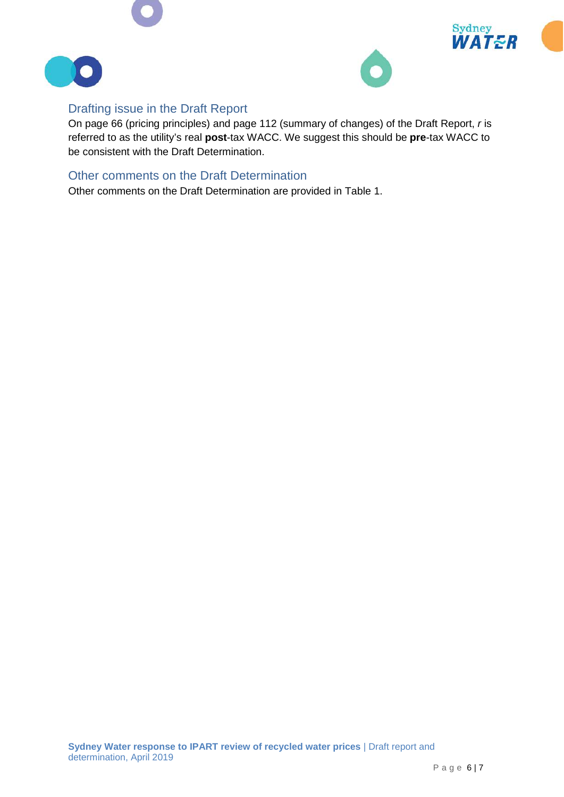





# Drafting issue in the Draft Report

On page 66 (pricing principles) and page 112 (summary of changes) of the Draft Report, *r* is referred to as the utility's real **post**-tax WACC. We suggest this should be **pre**-tax WACC to be consistent with the Draft Determination.

### Other comments on the Draft Determination

Other comments on the Draft Determination are provided in Table 1.